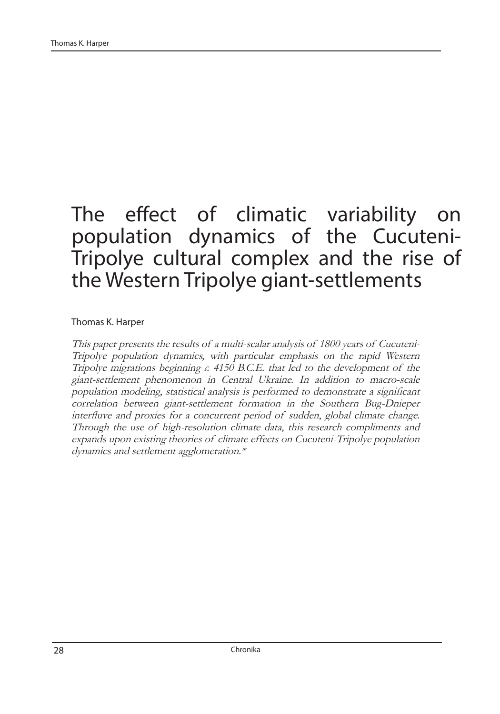# The effect of climatic variability on population dynamics of the Cucuteni-Tripolye cultural complex and the rise of the Western Tripolye giant-settlements

Thomas K. Harper

This paper presents the results of a multi-scalar analysis of 1800 years of Cucuteni-Tripolye population dynamics, with particular emphasis on the rapid Western Tripolye migrations beginning *c.* 4150 B.C.E. that led to the development of the giant-settlement phenomenon in Central Ukraine. In addition to macro-scale population modeling, statistical analysis is performed to demonstrate a significant correlation between giant-settlement formation in the Southern Bug-Dnieper interfluve and proxies for a concurrent period of sudden, global climate change. Through the use of high-resolution climate data, this research compliments and expands upon existing theories of climate effects on Cucuteni-Tripolye population dynamics and settlement agglomeration.\*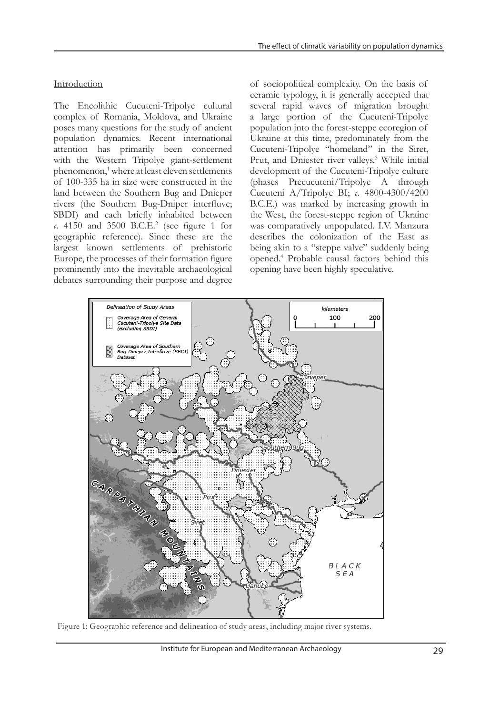The Eneolithic Cucuteni-Tripolye cultural complex of Romania, Moldova, and Ukraine poses many questions for the study of ancient population dynamics. Recent international attention has primarily been concerned with the Western Tripolye giant-settlement phenomenon,<sup>1</sup> where at least eleven settlements of 100-335 ha in size were constructed in the land between the Southern Bug and Dnieper rivers (the Southern Bug-Dniper interfluve; SBDI) and each briefly inhabited between *c*. 4150 and 3500 B.C.E.2 (see figure 1 for geographic reference). Since these are the largest known settlements of prehistoric Europe, the processes of their formation figure prominently into the inevitable archaeological debates surrounding their purpose and degree

of sociopolitical complexity. On the basis of ceramic typology, it is generally accepted that several rapid waves of migration brought a large portion of the Cucuteni-Tripolye population into the forest-steppe ecoregion of Ukraine at this time, predominately from the Cucuteni-Tripolye "homeland" in the Siret, Prut, and Dniester river valleys.<sup>3</sup> While initial development of the Cucuteni-Tripolye culture (phases Precucuteni/Tripolye A through Cucuteni A/Tripolye BI; *c*. 4800-4300/4200 B.C.E.) was marked by increasing growth in the West, the forest-steppe region of Ukraine was comparatively unpopulated. I.V. Manzura describes the colonization of the East as being akin to a "steppe valve" suddenly being opened.4 Probable causal factors behind this opening have been highly speculative.



Figure 1: Geographic reference and delineation of study areas, including major river systems.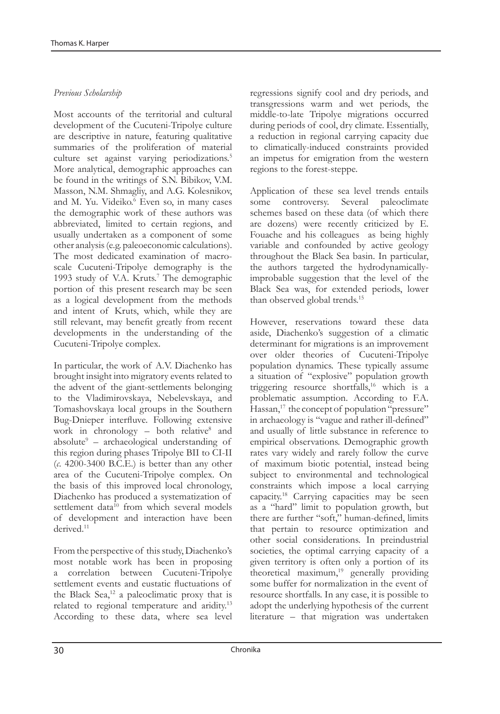## *Previous Scholarship*

Most accounts of the territorial and cultural development of the Cucuteni-Tripolye culture are descriptive in nature, featuring qualitative summaries of the proliferation of material culture set against varying periodizations.<sup>5</sup> More analytical, demographic approaches can be found in the writings of S.N. Bibikov, V.M. Masson, N.M. Shmagliy, and A.G. Kolesnikov, and M. Yu. Videiko.<sup>6</sup> Even so, in many cases the demographic work of these authors was abbreviated, limited to certain regions, and usually undertaken as a component of some other analysis (e.g. paleoeconomic calculations). The most dedicated examination of macroscale Cucuteni-Tripolye demography is the 1993 study of V.A. Kruts.<sup>7</sup> The demographic portion of this present research may be seen as a logical development from the methods and intent of Kruts, which, while they are still relevant, may benefit greatly from recent developments in the understanding of the Cucuteni-Tripolye complex.

In particular, the work of A.V. Diachenko has brought insight into migratory events related to the advent of the giant-settlements belonging to the Vladimirovskaya, Nebelevskaya, and Tomashovskaya local groups in the Southern Bug-Dnieper interfluve. Following extensive work in chronology - both relative<sup>8</sup> and absolute9 – archaeological understanding of this region during phases Tripolye BII to CI-II (*c*. 4200-3400 B.C.E.) is better than any other area of the Cucuteni-Tripolye complex. On the basis of this improved local chronology, Diachenko has produced a systematization of settlement data<sup>10</sup> from which several models of development and interaction have been derived.<sup>11</sup>

From the perspective of this study, Diachenko's most notable work has been in proposing a correlation between Cucuteni-Tripolye settlement events and eustatic fluctuations of the Black Sea, $^{12}$  a paleoclimatic proxy that is related to regional temperature and aridity.13 According to these data, where sea level

regressions signify cool and dry periods, and transgressions warm and wet periods, the middle-to-late Tripolye migrations occurred during periods of cool, dry climate. Essentially, a reduction in regional carrying capacity due to climatically-induced constraints provided an impetus for emigration from the western regions to the forest-steppe.

Application of these sea level trends entails some controversy. Several paleoclimate schemes based on these data (of which there are dozens) were recently criticized by E. Fouache and his colleagues as being highly variable and confounded by active geology throughout the Black Sea basin. In particular, the authors targeted the hydrodynamicallyimprobable suggestion that the level of the Black Sea was, for extended periods, lower than observed global trends.15

However, reservations toward these data aside, Diachenko's suggestion of a climatic determinant for migrations is an improvement over older theories of Cucuteni-Tripolye population dynamics. These typically assume a situation of "explosive" population growth triggering resource shortfalls,16 which is a problematic assumption. According to F.A. Hassan,<sup>17</sup> the concept of population "pressure" in archaeology is "vague and rather ill-defined" and usually of little substance in reference to empirical observations. Demographic growth rates vary widely and rarely follow the curve of maximum biotic potential, instead being subject to environmental and technological constraints which impose a local carrying capacity.18 Carrying capacities may be seen as a "hard" limit to population growth, but there are further "soft," human-defined, limits that pertain to resource optimization and other social considerations. In preindustrial societies, the optimal carrying capacity of a given territory is often only a portion of its theoretical maximum,<sup>19</sup> generally providing some buffer for normalization in the event of resource shortfalls. In any case, it is possible to adopt the underlying hypothesis of the current literature – that migration was undertaken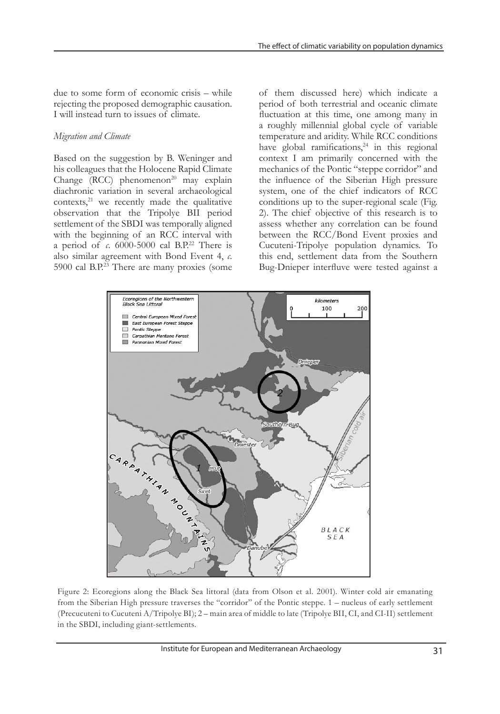due to some form of economic crisis – while rejecting the proposed demographic causation. I will instead turn to issues of climate.

#### *Migration and Climate*

Based on the suggestion by B. Weninger and his colleagues that the Holocene Rapid Climate Change  $(RCC)$  phenomenon<sup>20</sup> may explain diachronic variation in several archaeological  $contexts<sub>1</sub><sup>21</sup>$  we recently made the qualitative observation that the Tripolye BII period settlement of the SBDI was temporally aligned with the beginning of an RCC interval with a period of  $\alpha$ . 6000-5000 cal B.P.<sup>22</sup> There is also similar agreement with Bond Event 4, *c*. 5900 cal B.P.<sup>23</sup> There are many proxies (some of them discussed here) which indicate a period of both terrestrial and oceanic climate fluctuation at this time, one among many in a roughly millennial global cycle of variable temperature and aridity. While RCC conditions have global ramifications, $24$  in this regional context I am primarily concerned with the mechanics of the Pontic "steppe corridor" and the influence of the Siberian High pressure system, one of the chief indicators of RCC conditions up to the super-regional scale (Fig. 2). The chief objective of this research is to assess whether any correlation can be found between the RCC/Bond Event proxies and Cucuteni-Tripolye population dynamics. To this end, settlement data from the Southern Bug-Dnieper interfluve were tested against a



Figure 2: Ecoregions along the Black Sea littoral (data from Olson et al. 2001). Winter cold air emanating from the Siberian High pressure traverses the "corridor" of the Pontic steppe. 1 – nucleus of early settlement (Precucuteni to Cucuteni A/Tripolye BI); 2 – main area of middle to late (Tripolye BII, CI, and CI-II) settlement in the SBDI, including giant-settlements.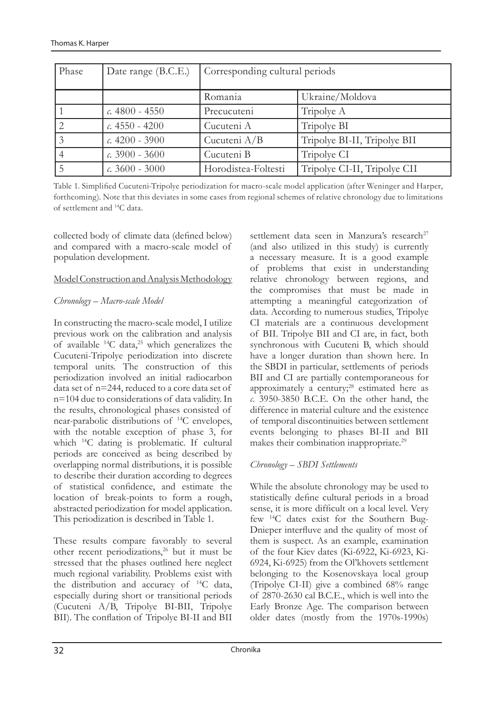| Phase | Date range (B.C.E.)      | Corresponding cultural periods |                              |  |  |  |
|-------|--------------------------|--------------------------------|------------------------------|--|--|--|
|       |                          | Romania                        | Ukraine/Moldova              |  |  |  |
|       | $\epsilon$ . 4800 - 4550 | Precucuteni                    | Tripolye A                   |  |  |  |
|       | $c.4550 - 4200$          | Cucuteni A                     | Tripolye BI                  |  |  |  |
|       | $\epsilon$ . 4200 - 3900 | Cucuteni A/B                   | Tripolye BI-II, Tripolye BII |  |  |  |
|       | $c.3900 - 3600$          | Cucuteni B                     | Tripolye CI                  |  |  |  |
|       | $\ldots$ 3600 - 3000     | Horodistea-Foltesti            | Tripolye CI-II, Tripolye CII |  |  |  |

Table 1. Simplified Cucuteni-Tripolye periodization for macro-scale model application (after Weninger and Harper, forthcoming). Note that this deviates in some cases from regional schemes of relative chronology due to limitations of settlement and 14C data.

collected body of climate data (defined below) and compared with a macro-scale model of population development.

#### Model Construction and Analysis Methodology

## *Chronology – Macro-scale Model*

In constructing the macro-scale model, I utilize previous work on the calibration and analysis of available  $^{14}$ C data,<sup>25</sup> which generalizes the Cucuteni-Tripolye periodization into discrete temporal units. The construction of this periodization involved an initial radiocarbon data set of n=244, reduced to a core data set of n=104 due to considerations of data validity. In the results, chronological phases consisted of near-parabolic distributions of 14C envelopes, with the notable exception of phase 3, for which 14C dating is problematic. If cultural periods are conceived as being described by overlapping normal distributions, it is possible to describe their duration according to degrees of statistical confidence, and estimate the location of break-points to form a rough, abstracted periodization for model application. This periodization is described in Table 1.

These results compare favorably to several other recent periodizations,<sup>26</sup> but it must be stressed that the phases outlined here neglect much regional variability. Problems exist with the distribution and accuracy of 14C data, especially during short or transitional periods (Cucuteni A/B, Tripolye BI-BII, Tripolye BII). The conflation of Tripolye BI-II and BII

settlement data seen in Manzura's research<sup>27</sup> (and also utilized in this study) is currently a necessary measure. It is a good example of problems that exist in understanding relative chronology between regions, and the compromises that must be made in attempting a meaningful categorization of data. According to numerous studies, Tripolye CI materials are a continuous development of BII. Tripolye BII and CI are, in fact, both synchronous with Cucuteni B, which should have a longer duration than shown here. In the SBDI in particular, settlements of periods BII and CI are partially contemporaneous for approximately a century; $28$  estimated here as *c*. 3950-3850 B.C.E. On the other hand, the difference in material culture and the existence of temporal discontinuities between settlement events belonging to phases BI-II and BII makes their combination inappropriate.<sup>29</sup>

## *Chronology – SBDI Settlements*

While the absolute chronology may be used to statistically define cultural periods in a broad sense, it is more difficult on a local level. Very few 14C dates exist for the Southern Bug-Dnieper interfluve and the quality of most of them is suspect. As an example, examination of the four Kiev dates (Ki-6922, Ki-6923, Ki-6924, Ki-6925) from the Ol'khovets settlement belonging to the Kosenovskaya local group (Tripolye CI-II) give a combined 68% range of 2870-2630 cal B.C.E., which is well into the Early Bronze Age. The comparison between older dates (mostly from the 1970s-1990s)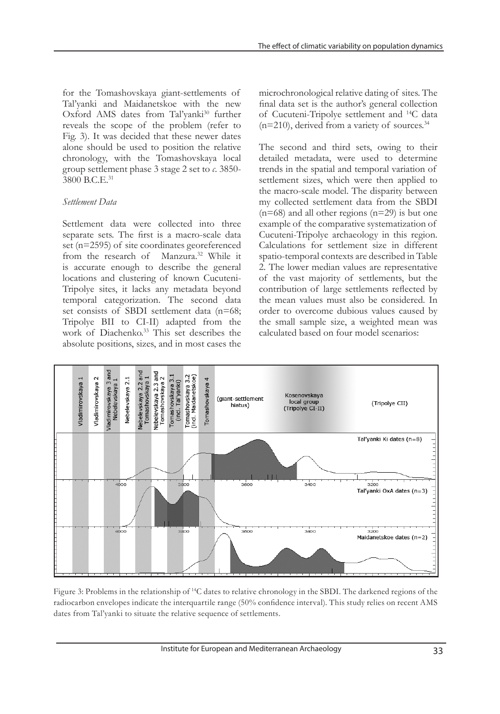for the Tomashovskaya giant-settlements of Tal'yanki and Maidanetskoe with the new Oxford AMS dates from Tal'yanki<sup>30</sup> further reveals the scope of the problem (refer to Fig. 3). It was decided that these newer dates alone should be used to position the relative chronology, with the Tomashovskaya local group settlement phase 3 stage 2 set to *c*. 3850- 3800 B.C.E.31

#### *Settlement Data*

Settlement data were collected into three separate sets. The first is a macro-scale data set (n=2595) of site coordinates georeferenced from the research of Manzura.<sup>32</sup> While it is accurate enough to describe the general locations and clustering of known Cucuteni-Tripolye sites, it lacks any metadata beyond temporal categorization. The second data set consists of SBDI settlement data (n=68; Tripolye BII to CI-II) adapted from the work of Diachenko.<sup>33</sup> This set describes the absolute positions, sizes, and in most cases the microchronological relative dating of sites. The final data set is the author's general collection of Cucuteni-Tripolye settlement and 14C data  $(n=210)$ , derived from a variety of sources.<sup>34</sup>

The second and third sets, owing to their detailed metadata, were used to determine trends in the spatial and temporal variation of settlement sizes, which were then applied to the macro-scale model. The disparity between my collected settlement data from the SBDI  $(n=68)$  and all other regions  $(n=29)$  is but one example of the comparative systematization of Cucuteni-Tripolye archaeology in this region. Calculations for settlement size in different spatio-temporal contexts are described in Table 2. The lower median values are representative of the vast majority of settlements, but the contribution of large settlements reflected by the mean values must also be considered. In order to overcome dubious values caused by the small sample size, a weighted mean was calculated based on four model scenarios:



Figure 3: Problems in the relationship of 14C dates to relative chronology in the SBDI. The darkened regions of the radiocarbon envelopes indicate the interquartile range (50% confidence interval). This study relies on recent AMS dates from Tal'yanki to situate the relative sequence of settlements.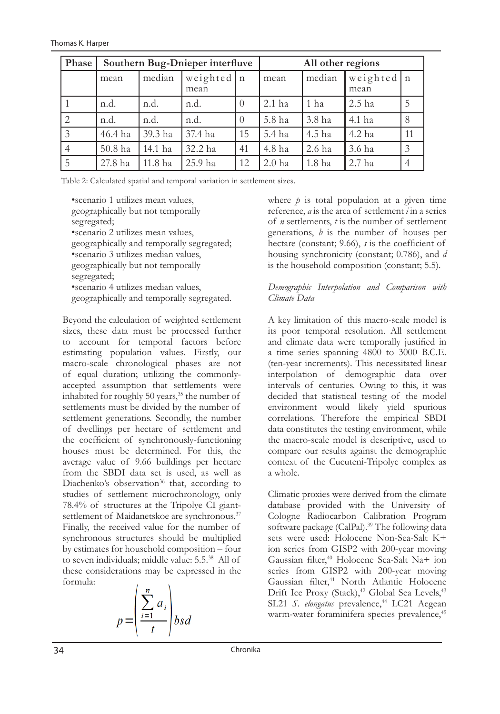| Phase | Southern Bug-Dnieper interfluve |                                |         |          | All other regions |                    |          |    |  |
|-------|---------------------------------|--------------------------------|---------|----------|-------------------|--------------------|----------|----|--|
|       | mean                            | weighted   n<br>median<br>mean |         | mean     | median            | weighted n<br>mean |          |    |  |
|       | n.d.                            | n.d.                           | n.d.    | $\left($ | $2.1$ ha          | 1 ha               | $2.5$ ha | 5  |  |
| 2     | n.d.                            | n.d.                           | n.d.    | $\Omega$ | 5.8 ha            | 3.8 ha             | 4.1 ha   |    |  |
| 3     | 46.4 ha                         | 39.3 ha                        | 37.4 ha | 15       | 5.4 ha            | 4.5 ha             | 4.2 ha   | 11 |  |
|       | 50.8 ha                         | 14.1 ha                        | 32.2 ha | 41       | 4.8 ha            | 2.6 ha             | 3.6 ha   | 3  |  |
|       | 27.8 ha                         | 11.8 ha                        | 25.9 ha | 12       | 2.0 <sub>ha</sub> | 1.8 <sub>ha</sub>  | $2.7$ ha |    |  |

Table 2: Calculated spatial and temporal variation in settlement sizes.

•scenario 1 utilizes mean values, geographically but not temporally segregated; •scenario 2 utilizes mean values, geographically and temporally segregated; •scenario 3 utilizes median values, geographically but not temporally segregated; •scenario 4 utilizes median values, geographically and temporally segregated.

Beyond the calculation of weighted settlement sizes, these data must be processed further to account for temporal factors before estimating population values. Firstly, our macro-scale chronological phases are not of equal duration; utilizing the commonlyaccepted assumption that settlements were inhabited for roughly 50 years,<sup>35</sup> the number of settlements must be divided by the number of settlement generations. Secondly, the number of dwellings per hectare of settlement and the coefficient of synchronously-functioning houses must be determined. For this, the average value of 9.66 buildings per hectare from the SBDI data set is used, as well as Diachenko's observation<sup>36</sup> that, according to studies of settlement microchronology, only 78.4% of structures at the Tripolye CI giantsettlement of Maidanetskoe are synchronous.<sup>37</sup> Finally, the received value for the number of synchronous structures should be multiplied by estimates for household composition – four to seven individuals; middle value: 5.5.38 All of these considerations may be expressed in the formula:

$$
p = \left(\frac{\sum_{i=1}^{n} a_i}{t}\right) b s d
$$

where  $\dot{p}$  is total population at a given time reference, *a* is the area of settlement *i* in a series of *n* settlements, *t* is the number of settlement generations, *b* is the number of houses per hectare (constant; 9.66), *s* is the coefficient of housing synchronicity (constant; 0.786), and *d*  is the household composition (constant; 5.5).

### *Demographic Interpolation and Comparison with Climate Data*

A key limitation of this macro-scale model is its poor temporal resolution. All settlement and climate data were temporally justified in a time series spanning 4800 to 3000 B.C.E. (ten-year increments). This necessitated linear interpolation of demographic data over intervals of centuries. Owing to this, it was decided that statistical testing of the model environment would likely yield spurious correlations. Therefore the empirical SBDI data constitutes the testing environment, while the macro-scale model is descriptive, used to compare our results against the demographic context of the Cucuteni-Tripolye complex as a whole.

Climatic proxies were derived from the climate database provided with the University of Cologne Radiocarbon Calibration Program software package (CalPal).<sup>39</sup> The following data sets were used: Holocene Non-Sea-Salt K+ ion series from GISP2 with 200-year moving Gaussian filter,40 Holocene Sea-Salt Na+ ion series from GISP2 with 200-year moving Gaussian filter,<sup>41</sup> North Atlantic Holocene Drift Ice Proxy (Stack),<sup>42</sup> Global Sea Levels,<sup>43</sup> SL21 *S. elongatus* prevalence,<sup>44</sup> LC21 Aegean warm-water foraminifera species prevalence,<sup>45</sup>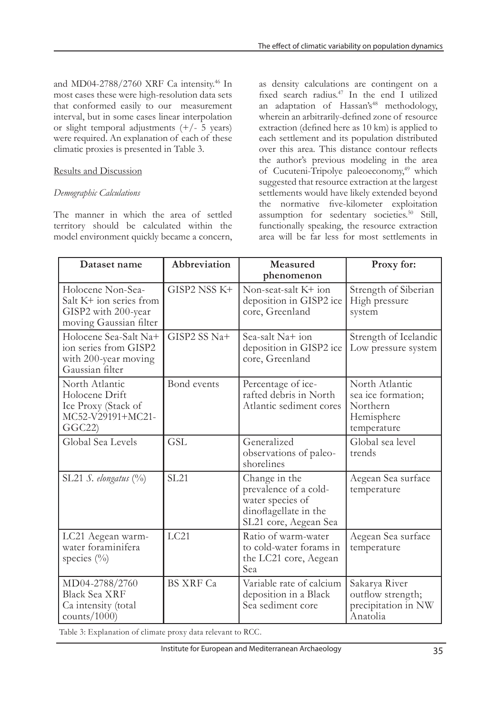and MD04-2788/2760 XRF Ca intensity.46 In most cases these were high-resolution data sets that conformed easily to our measurement interval, but in some cases linear interpolation or slight temporal adjustments  $(+/- 5$  years) were required. An explanation of each of these climatic proxies is presented in Table 3.

# Results and Discussion

## *Demographic Calculations*

The manner in which the area of settled territory should be calculated within the model environment quickly became a concern, as density calculations are contingent on a fixed search radius.47 In the end I utilized an adaptation of Hassan's<sup>48</sup> methodology, wherein an arbitrarily-defined zone of resource extraction (defined here as 10 km) is applied to each settlement and its population distributed over this area. This distance contour reflects the author's previous modeling in the area of Cucuteni-Tripolye paleoeconomy,<sup>49</sup> which suggested that resource extraction at the largest settlements would have likely extended beyond the normative five-kilometer exploitation assumption for sedentary societies.50 Still, functionally speaking, the resource extraction area will be far less for most settlements in

| Dataset name                                                                                  | Abbreviation     | Measured<br>phenomenon                                                                                       | Proxy for:                                                                    |
|-----------------------------------------------------------------------------------------------|------------------|--------------------------------------------------------------------------------------------------------------|-------------------------------------------------------------------------------|
| Holocene Non-Sea-<br>Salt K+ ion series from<br>GISP2 with 200-year<br>moving Gaussian filter | GISP2 NSS K+     | Non-seat-salt K+ ion<br>deposition in GISP2 ice<br>core, Greenland                                           | Strength of Siberian<br>High pressure<br>system                               |
| Holocene Sea-Salt Na+<br>ion series from GISP2<br>with 200-year moving<br>Gaussian filter     | GISP2 SS Na+     | Sea-salt $Na+$ ion<br>deposition in GISP2 ice<br>core, Greenland                                             | Strength of Icelandic<br>Low pressure system                                  |
| North Atlantic<br>Holocene Drift<br>Ice Proxy (Stack of<br>MC52-V29191+MC21-<br>GGC22         | Bond events      | Percentage of ice-<br>rafted debris in North<br>Atlantic sediment cores                                      | North Atlantic<br>sea ice formation;<br>Northern<br>Hemisphere<br>temperature |
| Global Sea Levels                                                                             | <b>GSL</b>       | Generalized<br>observations of paleo-<br>shorelines                                                          | Global sea level<br>trends                                                    |
| SL21 $S.$ elongatus $(%)$                                                                     | <b>SL21</b>      | Change in the<br>prevalence of a cold-<br>water species of<br>dinoflagellate in the<br>SL21 core, Aegean Sea | Aegean Sea surface<br>temperature                                             |
| LC21 Aegean warm-<br>water foraminifera<br>species (%)                                        | LC21             | Ratio of warm-water<br>to cold-water forams in<br>the LC21 core, Aegean<br>Sea                               | Aegean Sea surface<br>temperature                                             |
| MD04-2788/2760<br><b>Black Sea XRF</b><br>Ca intensity (total<br>counts/ $1000$ )             | <b>BS XRF Ca</b> | Variable rate of calcium<br>deposition in a Black<br>Sea sediment core                                       | Sakarya River<br>outflow strength;<br>precipitation in NW<br>Anatolia         |

Table 3: Explanation of climate proxy data relevant to RCC.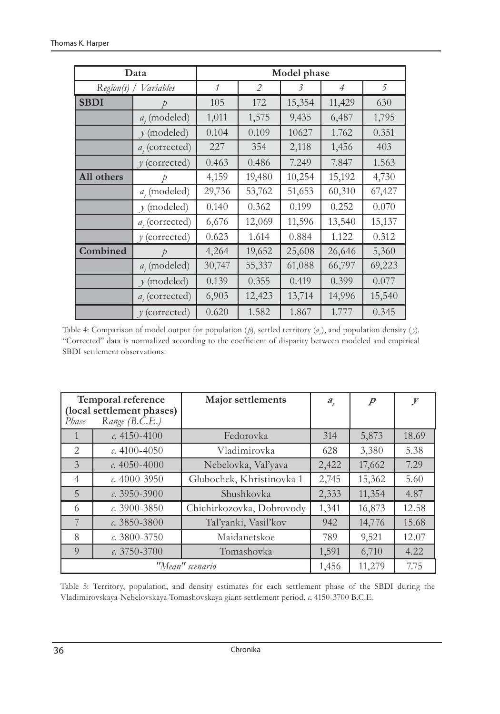|                        | Data                            | Model phase  |                |        |                |        |  |  |  |
|------------------------|---------------------------------|--------------|----------------|--------|----------------|--------|--|--|--|
| Variables<br>Region(s) |                                 | $\mathcal I$ | $\overline{2}$ | 3      | $\overline{4}$ | 5      |  |  |  |
| <b>SBDI</b>            | D                               | 105          | 172            | 15,354 | 11,429         | 630    |  |  |  |
|                        | $a_{i}$ (modeled)               | 1,011        | 1,575          | 9,435  | 6,487          | 1,795  |  |  |  |
|                        | (modeled)<br>$\boldsymbol{\nu}$ | 0.104        | 0.109          | 10627  | 1.762          | 0.351  |  |  |  |
|                        | $a_{i}$ (corrected)             | 227          | 354            | 2,118  | 1,456          | 403    |  |  |  |
|                        | $y$ (corrected)                 | 0.463        | 0.486          | 7.249  | 7.847          | 1.563  |  |  |  |
| All others             |                                 |              | 19,480         | 10,254 | 15,192         | 4,730  |  |  |  |
|                        | $a_{i}$ (modeled)               | 29,736       | 53,762         | 51,653 | 60,310         | 67,427 |  |  |  |
|                        | (modeled)<br>$\gamma$           | 0.140        | 0.362          | 0.199  | 0.252          | 0.070  |  |  |  |
|                        | $a_i$ (corrected)               | 6,676        | 12,069         | 11,596 | 13,540         | 15,137 |  |  |  |
|                        | $y$ (corrected)                 | 0.623        | 1.614          | 0.884  | 1.122          | 0.312  |  |  |  |
| Combined               |                                 |              | 19,652         | 25,608 | 26,646         | 5,360  |  |  |  |
|                        | $a_{i}$ (modeled)               | 30,747       | 55,337         | 61,088 | 66,797         | 69,223 |  |  |  |
|                        | $y \pmod{ed}$                   | 0.139        | 0.355          | 0.419  | 0.399          | 0.077  |  |  |  |
|                        | $a_{i}$ (corrected)             | 6,903        | 12,423         | 13,714 | 14,996         | 15,540 |  |  |  |
|                        | $y$ (corrected)                 | 0.620        | 1.582          | 1.867  | 1.777          | 0.345  |  |  |  |

Table 4: Comparison of model output for population (*p*), settled territory (*a<sub>t</sub>*), and population density (*y*). "Corrected" data is normalized according to the coefficient of disparity between modeled and empirical SBDI settlement observations.

| Temporal reference<br>(local settlement phases)<br>Range (B.C.E.)<br>Phase |                  | Major settlements         | $a_{t}$ | $\overline{p}$ | $\mathcal{Y}$ |
|----------------------------------------------------------------------------|------------------|---------------------------|---------|----------------|---------------|
| 1                                                                          | $c.4150 - 4100$  | Fedorovka                 | 314     | 5,873          | 18.69         |
| $\mathfrak{D}$                                                             | c. $4100 - 4050$ | Vladimirovka              | 628     | 3,380          | 5.38          |
| 3                                                                          | c. $4050 - 4000$ | Nebelovka, Val'yava       | 2,422   | 17,662         | 7.29          |
| $\overline{4}$                                                             | c. $4000 - 3950$ | Glubochek, Khristinovka 1 | 2,745   | 15,362         | 5.60          |
| 5                                                                          | $c. 3950 - 3900$ | Shushkovka                | 2,333   | 11,354         | 4.87          |
| 6                                                                          | $c. 3900 - 3850$ | Chichirkozovka, Dobrovody | 1,341   | 16,873         | 12.58         |
| 7                                                                          | c. $3850 - 3800$ | Tal'yanki, Vasil'kov      | 942     | 14,776         | 15.68         |
| 8                                                                          | $c.3800 - 3750$  | Maidanetskoe              | 789     | 9,521          | 12.07         |
| $\overline{O}$                                                             | $c.3750 - 3700$  | 1,591                     | 6,710   | 4.22           |               |
|                                                                            |                  | "Mean" scenario           | 1,456   | 11,279         | 7.75          |

Table 5: Territory, population, and density estimates for each settlement phase of the SBDI during the Vladimirovskaya-Nebelovskaya-Tomashovskaya giant-settlement period, *c*. 4150-3700 B.C.E.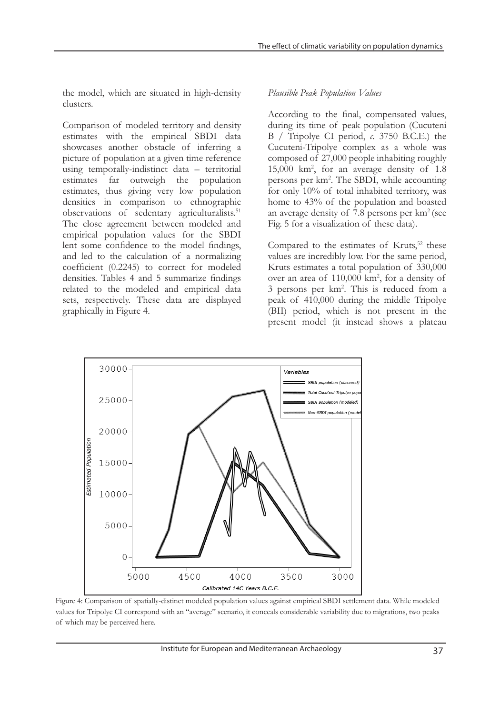the model, which are situated in high-density clusters.

Comparison of modeled territory and density estimates with the empirical SBDI data showcases another obstacle of inferring a picture of population at a given time reference using temporally-indistinct data – territorial estimates far outweigh the population estimates, thus giving very low population densities in comparison to ethnographic observations of sedentary agriculturalists.<sup>51</sup> The close agreement between modeled and empirical population values for the SBDI lent some confidence to the model findings, and led to the calculation of a normalizing coefficient (0.2245) to correct for modeled densities. Tables 4 and 5 summarize findings related to the modeled and empirical data sets, respectively. These data are displayed graphically in Figure 4.

## *Plausible Peak Population Values*

According to the final, compensated values, during its time of peak population (Cucuteni B / Tripolye CI period, *c*. 3750 B.C.E.) the Cucuteni-Tripolye complex as a whole was composed of 27,000 people inhabiting roughly 15,000 km2 , for an average density of 1.8 persons per km2 . The SBDI, while accounting for only 10% of total inhabited territory, was home to 43% of the population and boasted an average density of 7.8 persons per km2 (see Fig. 5 for a visualization of these data).

Compared to the estimates of Kruts,<sup>52</sup> these values are incredibly low. For the same period, Kruts estimates a total population of 330,000 over an area of 110,000 km<sup>2</sup>, for a density of 3 persons per km2 . This is reduced from a peak of 410,000 during the middle Tripolye (BII) period, which is not present in the present model (it instead shows a plateau



Figure 4: Comparison of spatially-distinct modeled population values against empirical SBDI settlement data. While modeled values for Tripolye CI correspond with an "average" scenario, it conceals considerable variability due to migrations, two peaks of which may be perceived here.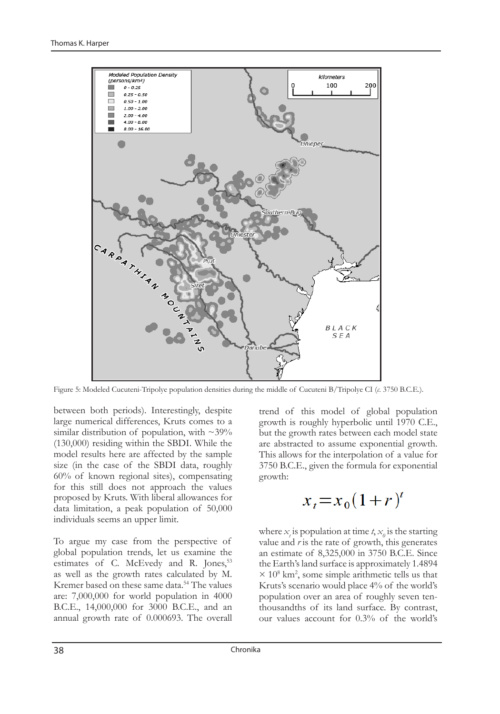

Figure 5: Modeled Cucuteni-Tripolye population densities during the middle of Cucuteni B/Tripolye CI (*c*. 3750 B.C.E.).

between both periods). Interestingly, despite large numerical differences, Kruts comes to a similar distribution of population, with  $\sim$ 39% (130,000) residing within the SBDI. While the model results here are affected by the sample size (in the case of the SBDI data, roughly 60% of known regional sites), compensating for this still does not approach the values proposed by Kruts. With liberal allowances for data limitation, a peak population of 50,000 individuals seems an upper limit.

To argue my case from the perspective of global population trends, let us examine the estimates of C. McEvedy and R. Jones,<sup>53</sup> as well as the growth rates calculated by M. Kremer based on these same data.<sup>54</sup> The values are: 7,000,000 for world population in 4000 B.C.E., 14,000,000 for 3000 B.C.E., and an annual growth rate of 0.000693. The overall

trend of this model of global population growth is roughly hyperbolic until 1970 C.E., but the growth rates between each model state are abstracted to assume exponential growth. This allows for the interpolation of a value for 3750 B.C.E., given the formula for exponential growth:

$$
x_t = x_0(1+r)^t
$$

where  $x_i$  is population at time  $t$ ,  $x_0$  is the starting value and *r* is the rate of growth, this generates an estimate of 8,325,000 in 3750 B.C.E. Since the Earth's land surface is approximately 1.4894  $\times$  10<sup>8</sup> km<sup>2</sup>, some simple arithmetic tells us that Kruts's scenario would place 4% of the world's population over an area of roughly seven tenthousandths of its land surface. By contrast, our values account for 0.3% of the world's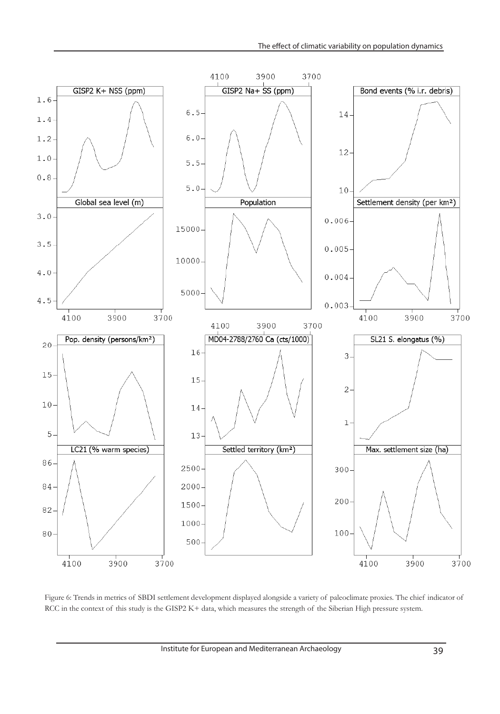

Figure 6: Trends in metrics of SBDI settlement development displayed alongside a variety of paleoclimate proxies. The chief indicator of RCC in the context of this study is the GISP2 K+ data, which measures the strength of the Siberian High pressure system.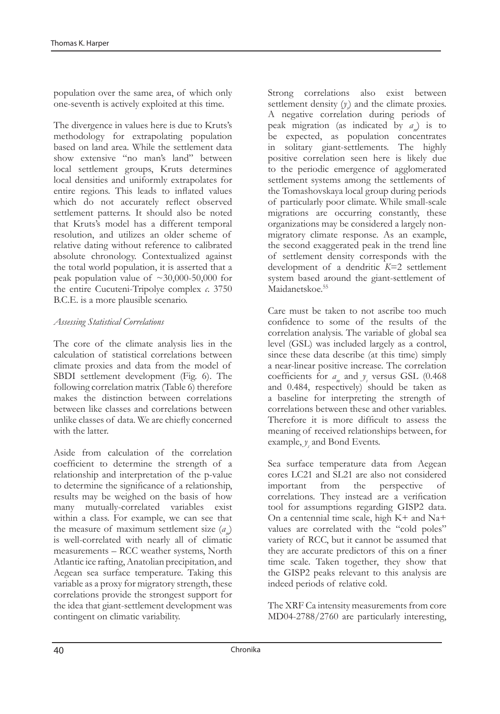population over the same area, of which only one-seventh is actively exploited at this time.

The divergence in values here is due to Kruts's methodology for extrapolating population based on land area. While the settlement data show extensive "no man's land" between local settlement groups, Kruts determines local densities and uniformly extrapolates for entire regions. This leads to inflated values which do not accurately reflect observed settlement patterns. It should also be noted that Kruts's model has a different temporal resolution, and utilizes an older scheme of relative dating without reference to calibrated absolute chronology. Contextualized against the total world population, it is asserted that a peak population value of  $\sim 30,000$ -50,000 for the entire Cucuteni-Tripolye complex *c*. 3750 B.C.E. is a more plausible scenario.

## *Assessing Statistical Correlations*

The core of the climate analysis lies in the calculation of statistical correlations between climate proxies and data from the model of SBDI settlement development (Fig. 6). The following correlation matrix (Table 6) therefore makes the distinction between correlations between like classes and correlations between unlike classes of data. We are chiefly concerned with the latter.

Aside from calculation of the correlation coefficient to determine the strength of a relationship and interpretation of the p-value to determine the significance of a relationship, results may be weighed on the basis of how many mutually-correlated variables exist within a class. For example, we can see that the measure of maximum settlement size (*am*) is well-correlated with nearly all of climatic measurements – RCC weather systems, North Atlantic ice rafting, Anatolian precipitation, and Aegean sea surface temperature. Taking this variable as a proxy for migratory strength, these correlations provide the strongest support for the idea that giant-settlement development was contingent on climatic variability.

Strong correlations also exist between settlement density  $(y)$  and the climate proxies. A negative correlation during periods of peak migration (as indicated by *am*) is to be expected, as population concentrates in solitary giant-settlements. The highly positive correlation seen here is likely due to the periodic emergence of agglomerated settlement systems among the settlements of the Tomashovskaya local group during periods of particularly poor climate. While small-scale migrations are occurring constantly, these organizations may be considered a largely nonmigratory climate response. As an example, the second exaggerated peak in the trend line of settlement density corresponds with the development of a dendritic *K*=2 settlement system based around the giant-settlement of Maidanetskoe.<sup>55</sup>

Care must be taken to not ascribe too much confidence to some of the results of the correlation analysis. The variable of global sea level (GSL) was included largely as a control, since these data describe (at this time) simply a near-linear positive increase. The correlation coefficients for  $a_m$  and  $y_s$  versus GSL (0.468) and 0.484, respectively) should be taken as a baseline for interpreting the strength of correlations between these and other variables. Therefore it is more difficult to assess the meaning of received relationships between, for example,  $y<sub>s</sub>$  and Bond Events.

Sea surface temperature data from Aegean cores LC21 and SL21 are also not considered important from the perspective of correlations. They instead are a verification tool for assumptions regarding GISP2 data. On a centennial time scale, high K+ and Na+ values are correlated with the "cold poles" variety of RCC, but it cannot be assumed that they are accurate predictors of this on a finer time scale. Taken together, they show that the GISP2 peaks relevant to this analysis are indeed periods of relative cold.

The XRF Ca intensity measurements from core MD04-2788/2760 are particularly interesting,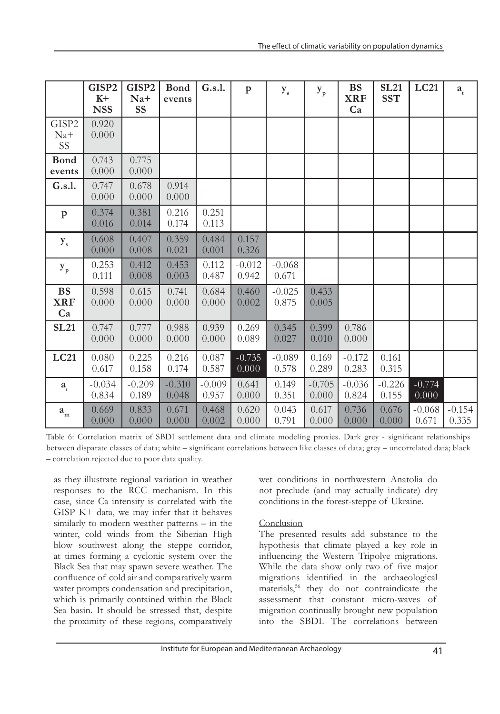|                               | GISP2<br>$K+$<br><b>NSS</b> | GISP2<br>Na+<br><b>SS</b> | <b>Bond</b><br>events | G.s.1.            | $\mathbf{p}$      | $y_{s}$           | ${\bf y}_{\rm p}$ | <b>BS</b><br><b>XRF</b><br>Ca | <b>SL21</b><br><b>SST</b> | LC21              | $a_{t}$           |
|-------------------------------|-----------------------------|---------------------------|-----------------------|-------------------|-------------------|-------------------|-------------------|-------------------------------|---------------------------|-------------------|-------------------|
| GISP2<br>$Na+$<br><b>SS</b>   | 0.920<br>0.000              |                           |                       |                   |                   |                   |                   |                               |                           |                   |                   |
| <b>Bond</b><br>events         | 0.743<br>0.000              | 0.775<br>0.000            |                       |                   |                   |                   |                   |                               |                           |                   |                   |
| G.s.1.                        | 0.747<br>0.000              | 0.678<br>0.000            | 0.914<br>0.000        |                   |                   |                   |                   |                               |                           |                   |                   |
| $\mathbf{p}$                  | 0.374<br>0.016              | 0.381<br>0.014            | 0.216<br>0.174        | 0.251<br>0.113    |                   |                   |                   |                               |                           |                   |                   |
| $y_{s}$                       | 0.608<br>0.000              | 0.407<br>0.008            | 0.359<br>0.021        | 0.484<br>0.001    | 0.157<br>0.326    |                   |                   |                               |                           |                   |                   |
| $y_{p}$                       | 0.253<br>0.111              | 0.412<br>0.008            | 0.453<br>0.003        | 0.112<br>0.487    | $-0.012$<br>0.942 | $-0.068$<br>0.671 |                   |                               |                           |                   |                   |
| <b>BS</b><br><b>XRF</b><br>Ca | 0.598<br>0.000              | 0.615<br>0.000            | 0.741<br>0.000        | 0.684<br>0.000    | 0.460<br>0.002    | $-0.025$<br>0.875 | 0.433<br>0.005    |                               |                           |                   |                   |
| <b>SL21</b>                   | 0.747<br>0.000              | 0.777<br>0.000            | 0.988<br>0.000        | 0.939<br>0.000    | 0.269<br>0.089    | 0.345<br>0.027    | 0.399<br>0.010    | 0.786<br>0.000                |                           |                   |                   |
| <b>LC21</b>                   | 0.080<br>0.617              | 0.225<br>0.158            | 0.216<br>0.174        | 0.087<br>0.587    | $-0.735$<br>0.000 | $-0.089$<br>0.578 | 0.169<br>0.289    | $-0.172$<br>0.283             | 0.161<br>0.315            |                   |                   |
| $a_{t}$                       | $-0.034$<br>0.834           | $-0.209$<br>0.189         | $-0.310$<br>0.048     | $-0.009$<br>0.957 | 0.641<br>0.000    | 0.149<br>0.351    | $-0.705$<br>0.000 | $-0.036$<br>0.824             | $-0.226$<br>0.155         | $-0.774$<br>0.000 |                   |
| $\boldsymbol{a}_{_{\rm m}}$   | 0.669<br>0.000              | 0.833<br>0.000            | 0.671<br>0.000        | 0.468<br>0.002    | 0.620<br>0.000    | 0.043<br>0.791    | 0.617<br>0.000    | 0.736<br>0.000                | 0.676<br>0.000            | $-0.068$<br>0.671 | $-0.154$<br>0.335 |

Table 6: Correlation matrix of SBDI settlement data and climate modeling proxies. Dark grey - significant relationships between disparate classes of data; white – significant correlations between like classes of data; grey – uncorrelated data; black – correlation rejected due to poor data quality.

as they illustrate regional variation in weather responses to the RCC mechanism. In this case, since Ca intensity is correlated with the GISP K+ data, we may infer that it behaves similarly to modern weather patterns – in the winter, cold winds from the Siberian High blow southwest along the steppe corridor, at times forming a cyclonic system over the Black Sea that may spawn severe weather. The confluence of cold air and comparatively warm water prompts condensation and precipitation, which is primarily contained within the Black Sea basin. It should be stressed that, despite the proximity of these regions, comparatively wet conditions in northwestern Anatolia do not preclude (and may actually indicate) dry conditions in the forest-steppe of Ukraine.

## Conclusion

The presented results add substance to the hypothesis that climate played a key role in influencing the Western Tripolye migrations. While the data show only two of five major migrations identified in the archaeological materials,56 they do not contraindicate the assessment that constant micro-waves of migration continually brought new population into the SBDI. The correlations between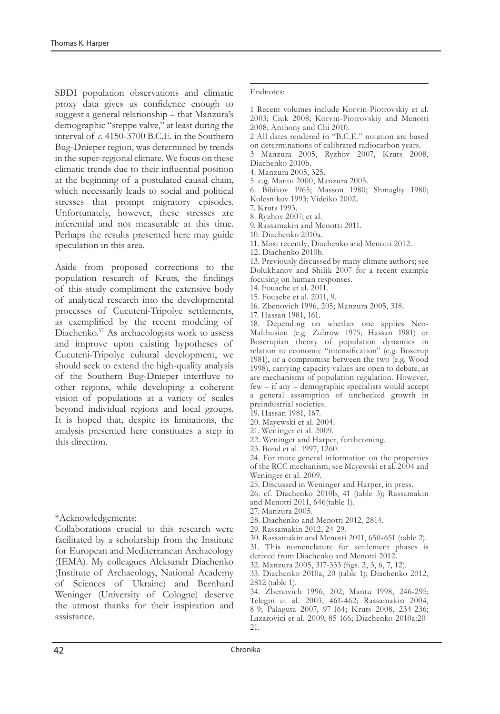SBDI population observations and climatic proxy data gives us confidence enough to suggest a general relationship – that Manzura's demographic "steppe valve," at least during the interval of *c*. 4150-3700 B.C.E. in the Southern Bug-Dnieper region, was determined by trends in the super-regional climate. We focus on these climatic trends due to their influential position at the beginning of a postulated causal chain, which necessarily leads to social and political stresses that prompt migratory episodes. Unfortunately, however, these stresses are inferential and not measurable at this time. Perhaps the results presented here may guide speculation in this area.

Aside from proposed corrections to the population research of Kruts, the findings of this study compliment the extensive body of analytical research into the developmental processes of Cucuteni-Tripolye settlements, as exemplified by the recent modeling of Diachenko.57 As archaeologists work to assess and improve upon existing hypotheses of Cucuteni-Tripolye cultural development, we should seek to extend the high-quality analysis of the Southern Bug-Dnieper interfluve to other regions, while developing a coherent vision of populations at a variety of scales beyond individual regions and local groups. It is hoped that, despite its limitations, the analysis presented here constitutes a step in this direction.

#### \*Acknowledgements:

Collaborations crucial to this research were facilitated by a scholarship from the Institute for European and Mediterranean Archaeology (IEMA). My colleagues Aleksandr Diachenko (Institute of Archaeology, National Academy of Sciences of Ukraine) and Bernhard Weninger (University of Cologne) deserve the utmost thanks for their inspiration and assistance.

#### Endnotes:

- 1 Recent volumes include Korvin-Piotrovskiy et al. 2003; Ciuk 2008; Korvin-Piotrovskiy and Menotti 2008; Anthony and Chi 2010.
- 2 All dates rendered in "B.C.E." notation are based on determinations of calibrated radiocarbon years.

3 Manzura 2005, Ryzhov 2007, Kruts 2008, Diachenko 2010b.

4. Manzura 2005, 325.

5. e.g. Mantu 2000, Manzura 2005.

6. Bibikov 1965; Masson 1980; Shmagliy 1980; Kolesnikov 1993; Videiko 2002.

7. Kruts 1993.

8. Ryzhov 2007; et al.

9. Rassamakin and Menotti 2011.

10. Diachenko 2010a.

11. Most recently, Diachenko and Menotti 2012.

12. Diachenko 2010b.

13. Previously discussed by many climate authors; see Dolukhanov and Shilik 2007 for a recent example focusing on human responses.

14. Fouache et al. 2011.

15. Fouache et al. 2011, 9.

16. Zbenovich 1996, 205; Manzura 2005, 318.

17. Hassan 1981, 161.

18. Depending on whether one applies Neo-Malthusian (e.g. Zubrow 1975; Hassan 1981) or Boserupian theory of population dynamics in relation to economic "intensification" (e.g. Boserup 1981), or a compromise between the two (e.g. Wood 1998), carrying capacity values are open to debate, as are mechanisms of population regulation. However, few – if any – demographic specialists would accept a general assumption of unchecked growth in preindustrial societies.

19. Hassan 1981, 167.

- 20. Mayewski et al. 2004.
- 21. Weninger et al. 2009.
- 22. Weninger and Harper, forthcoming.
- 23. Bond et al. 1997, 1260.

24. For more general information on the properties of the RCC mechanism, see Mayewski et al. 2004 and Weninger et al. 2009.

25. Discussed in Weninger and Harper, in press.

26. cf. Diachenko 2010b, 41 (table 3); Rassamakin and Menotti 2011, 646(table 1).

27. Manzura 2005.

28. Diachenko and Menotti 2012, 2814.

29. Rassamakin 2012, 24-29.

30. Rassamakin and Menotti 2011, 650-651 (table 2).

31. This nomenclature for settlement phases is derived from Diachenko and Menotti 2012.

32. Manzura 2005, 317-333 (figs. 2, 3, 6, 7, 12).

33. Diachenko 2010a, 20 (table 1); Diachenko 2012, 2812 (table 1).

34. Zbenovich 1996, 202; Mantu 1998, 246-295; Telegin et al. 2003, 461-462; Rassamakin 2004, 8-9; Palaguta 2007, 97-164; Kruts 2008, 234-236; Lazarovici et al. 2009, 85-166; Diachenko 2010a:20- 21.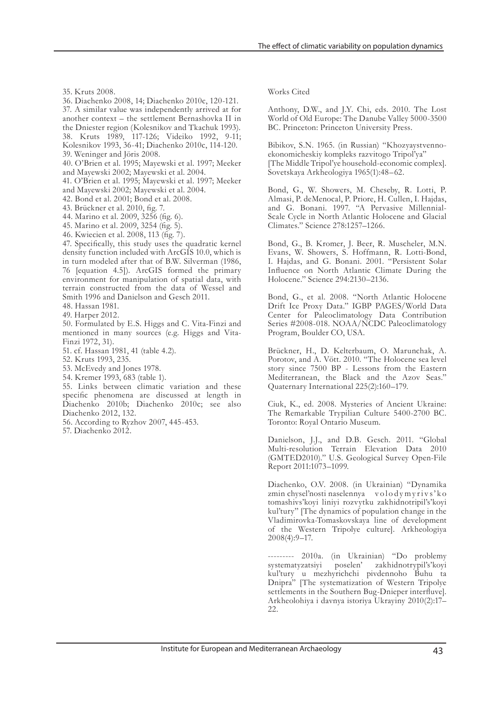35. Kruts 2008.

36. Diachenko 2008, 14; Diachenko 2010c, 120-121. 37. A similar value was independently arrived at for

another context – the settlement Bernashovka II in the Dniester region (Kolesnikov and Tkachuk 1993). 38. Kruts 1989, 117-126; Videiko 1992, 9-11; Kolesnikov 1993, 36-41; Diachenko 2010c, 114-120. 39. Weninger and Jöris 2008.

40. O'Brien et al. 1995; Mayewski et al. 1997; Meeker and Mayewski 2002; Mayewski et al. 2004.

41. O'Brien et al. 1995; Mayewski et al. 1997; Meeker and Mayewski 2002; Mayewski et al. 2004.

42. Bond et al. 2001; Bond et al. 2008.

43. Brückner et al. 2010, fig. 7.

44. Marino et al. 2009, 3256 (fig. 6).

45. Marino et al. 2009, 3254 (fig. 5).

46. Kwiecien et al. 2008, 113 (fig. 7).

47. Specifically, this study uses the quadratic kernel density function included with ArcGIS 10.0, which is in turn modeled after that of B.W. Silverman (1986, 76 [equation 4.5]). ArcGIS formed the primary environment for manipulation of spatial data, with terrain constructed from the data of Wessel and Smith 1996 and Danielson and Gesch 2011.

48. Hassan 1981. 49. Harper 2012.

50. Formulated by E.S. Higgs and C. Vita-Finzi and mentioned in many sources (e.g. Higgs and Vita-Finzi 1972, 31).

51. cf. Hassan 1981, 41 (table 4.2).

52. Kruts 1993, 235.

53. McEvedy and Jones 1978.

54. Kremer 1993, 683 (table 1).

55. Links between climatic variation and these specific phenomena are discussed at length in Diachenko 2010b; Diachenko 2010c; see also Diachenko 2012, 132.

56. According to Ryzhov 2007, 445-453.

57. Diachenko 2012.

Works Cited

Anthony, D.W., and J.Y. Chi, eds. 2010. The Lost World of Old Europe: The Danube Valley 5000-3500 BC. Princeton: Princeton University Press.

Bibikov, S.N. 1965. (in Russian) "Khozyaystvennoekonomicheskiy kompleks razvitogo Tripol'ya" [The Middle Tripol'ye household-economic complex]. Sovetskaya Arkheologiya 1965(1):48–62.

Bond, G., W. Showers, M. Cheseby, R. Lotti, P. Almasi, P. deMenocal, P. Priore, H. Cullen, I. Hajdas, and G. Bonani. 1997. "A Pervasive Millennial-Scale Cycle in North Atlantic Holocene and Glacial Climates." Science 278:1257–1266.

Bond, G., B. Kromer, J. Beer, R. Muscheler, M.N. Evans, W. Showers, S. Hoffmann, R. Lotti-Bond, I. Hajdas, and G. Bonani. 2001. "Persistent Solar Influence on North Atlantic Climate During the Holocene." Science 294:2130–2136.

Bond, G., et al. 2008. "North Atlantic Holocene Drift Ice Proxy Data." IGBP PAGES/World Data Center for Paleoclimatology Data Contribution Series #2008-018. NOAA/NCDC Paleoclimatology Program, Boulder CO, USA.

Brückner, H., D. Kelterbaum, O. Marunchak, A. Porotov, and A. Vött. 2010. "The Holocene sea level story since 7500 BP - Lessons from the Eastern Mediterranean, the Black and the Azov Seas." Quaternary International 225(2):160–179.

Ciuk, K., ed. 2008. Mysteries of Ancient Ukraine: The Remarkable Trypilian Culture 5400-2700 BC. Toronto: Royal Ontario Museum.

Danielson, J.J., and D.B. Gesch. 2011. "Global Multi-resolution Terrain Elevation Data 2010 (GMTED2010)." U.S. Geological Survey Open-File Report 2011:1073–1099.

Diachenko, O.V. 2008. (in Ukrainian) "Dynamika zmin chysel'nosti naselennya volodymyrivs'ko tomashivs'koyi liniyi rozvytku zakhidnotripil's'koyi kul'tury" [The dynamics of population change in the Vladimirovka-Tomaskovskaya line of development of the Western Tripolye culture]. Arkheologiya 2008(4):9–17.

--------- 2010a. (in Ukrainian) "Do problemy systematyzatsiyi poselen' zakhidnotrypil's'koyi kul'tury u mezhyrichchi pivdennoho Buhu ta Dnipra" [The systematization of Western Tripolye settlements in the Southern Bug-Dnieper interfluve]. Arkheolohiya i davnya istoriya Ukrayiny 2010(2):17– 22.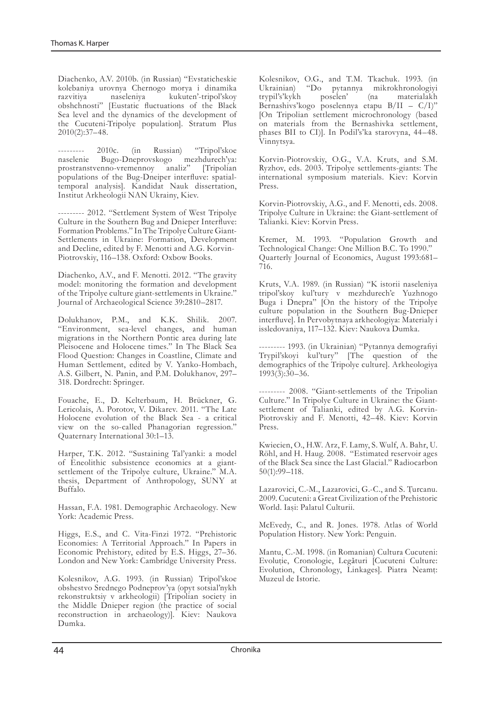Diachenko, A.V. 2010b. (in Russian) "Evstaticheskie kolebaniya urovnya Chernogo morya i dinamika razvitiya naseleniya kukuten'-tripol'skoy obshchnosti" [Eustatic fluctuations of the Black Sea level and the dynamics of the development of the Cucuteni-Tripolye population]. Stratum Plus 2010(2):37–48.

2010c. (in Russian) "Tripol'skoe naselenie Bugo-Dneprovskogo mezhdurech'ya: prostranstvenno-vremennoy analiz" [Tripolian populations of the Bug-Dneiper interfluve: spatialtemporal analysis]. Kandidat Nauk dissertation, Institut Arkheologii NAN Ukrainy, Kiev.

--------- 2012. "Settlement System of West Tripolye Culture in the Southern Bug and Dnieper Interfluve: Formation Problems." In The Tripolye Culture Giant-Settlements in Ukraine: Formation, Development and Decline, edited by F. Menotti and A.G. Korvin-Piotrovskiy, 116–138. Oxford: Oxbow Books.

Diachenko, A.V., and F. Menotti. 2012. "The gravity model: monitoring the formation and development of the Tripolye culture giant-settlements in Ukraine." Journal of Archaeological Science 39:2810–2817.

Dolukhanov, P.M., and K.K. Shilik. 2007. "Environment, sea-level changes, and human migrations in the Northern Pontic area during late Pleisocene and Holocene times." In The Black Sea Flood Question: Changes in Coastline, Climate and Human Settlement, edited by V. Yanko-Hombach, A.S. Gilbert, N. Panin, and P.M. Dolukhanov, 297– 318. Dordrecht: Springer.

Fouache, E., D. Kelterbaum, H. Brückner, G. Lericolais, A. Porotov, V. Dikarev. 2011. "The Late Holocene evolution of the Black Sea - a critical view on the so-called Phanagorian regression." Quaternary International 30:1–13.

Harper, T.K. 2012. "Sustaining Tal'yanki: a model of Eneolithic subsistence economics at a giantsettlement of the Tripolye culture, Ukraine." M.A. thesis, Department of Anthropology, SUNY at Buffalo.

Hassan, F.A. 1981. Demographic Archaeology. New York: Academic Press.

Higgs, E.S., and C. Vita-Finzi 1972. "Prehistoric Economies: A Territorial Approach." In Papers in Economic Prehistory, edited by E.S. Higgs, 27–36. London and New York: Cambridge University Press.

Kolesnikov, A.G. 1993. (in Russian) Tripol'skoe obshestvo Srednego Podneprov'ya (opyt sotsial'nykh rekonstruktsiy v arkheologii) [Tripolian society in the Middle Dnieper region (the practice of social reconstruction in archaeology)]. Kiev: Naukova Dumka.

Kolesnikov, O.G., and T.M. Tkachuk. 1993. (in Ukrainian) "Do pytannya mikrokhronologiyi trypil's'kykh poselen' (na materialakh Bernashivs'kogo poselennya etapu B/II – C/I)" [On Tripolian settlement microchronology (based on materials from the Bernashivka settlement, phases BII to CI)]. In Podil's'ka starovyna, 44–48. Vinnytsya.

Korvin-Piotrovskiy, O.G., V.A. Kruts, and S.M. Ryzhov, eds. 2003. Tripolye settlements-giants: The international symposium materials. Kiev: Korvin Press.

Korvin-Piotrovskiy, A.G., and F. Menotti, eds. 2008. Tripolye Culture in Ukraine: the Giant-settlement of Talianki. Kiev: Korvin Press.

Kremer, M. 1993. "Population Growth and Technological Change: One Million B.C. To 1990." Quarterly Journal of Economics, August 1993:681– 716.

Kruts, V.A. 1989. (in Russian) "K istorii naseleniya tripol'skoy kul'tury v mezhdurech'e Yuzhnogo Buga i Dnepra" [On the history of the Tripolye culture population in the Southern Bug-Dnieper interfluve]. In Pervobytnaya arkheologiya: Materialy i issledovaniya, 117–132. Kiev: Naukova Dumka.

--------- 1993. (in Ukrainian) "Pytannya demografiyi Trypil'skoyi kul'tury" [The question of the demographics of the Tripolye culture]. Arkheologiya  $1993(\overline{3})$ :30–36.

--------- 2008. "Giant-settlements of the Tripolian Culture." In Tripolye Culture in Ukraine: the Giantsettlement of Talianki, edited by A.G. Korvin-Piotrovskiy and F. Menotti, 42–48. Kiev: Korvin Press.

Kwiecien, O., H.W. Arz, F. Lamy, S. Wulf, A. Bahr, U. Röhl, and H. Haug. 2008. "Estimated reservoir ages of the Black Sea since the Last Glacial." Radiocarbon 50(1):99–118.

Lazarovici, C.-M., Lazarovici, G.-C., and S. Turcanu. 2009. Cucuteni: a Great Civilization of the Prehistoric World. Iași: Palatul Culturii.

McEvedy, C., and R. Jones. 1978. Atlas of World Population History. New York: Penguin.

Mantu, C.-M. 1998. (in Romanian) Cultura Cucuteni: Evoluție, Cronologie, Legături [Cucuteni Culture: Evolution, Chronology, Linkages]. Piatra Neamț: Muzeul de Istorie.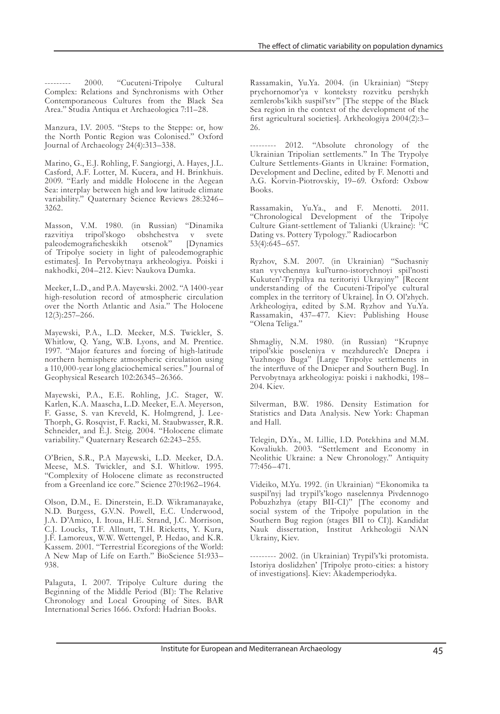--------- 2000. "Cucuteni-Tripolye Cultural Complex: Relations and Synchronisms with Other Contemporaneous Cultures from the Black Sea Area." Studia Antiqua et Archaeologica 7:11–28.

Manzura, I.V. 2005. "Steps to the Steppe: or, how the North Pontic Region was Colonised." Oxford Journal of Archaeology 24(4):313–338.

Marino, G., E.J. Rohling, F. Sangiorgi, A. Hayes, J.L. Casford, A.F. Lotter, M. Kucera, and H. Brinkhuis. 2009. "Early and middle Holocene in the Aegean Sea: interplay between high and low latitude climate variability." Quaternary Science Reviews 28:3246– 3262.

Masson, V.M. 1980. (in Russian) "Dinamika razvitiya tripol'skogo obshchestva v svete<br>paleodemograficheskikh otsenok" [Dynamics paleodemograficheskikh of Tripolye society in light of paleodemographic estimates]. In Pervobytnaya arkheologiya. Poiski i nakhodki, 204–212. Kiev: Naukova Dumka.

Meeker, L.D., and P.A. Mayewski. 2002. "A 1400-year high-resolution record of atmospheric circulation over the North Atlantic and Asia." The Holocene 12(3):257–266.

Mayewski, P.A., L.D. Meeker, M.S. Twickler, S. Whitlow, Q. Yang, W.B. Lyons, and M. Prentice. 1997. "Major features and forcing of high-latitude northern hemisphere atmospheric circulation using a 110,000-year long glaciochemical series." Journal of Geophysical Research 102:26345–26366.

Mayewski, P.A., E.E. Rohling, J.C. Stager, W. Karlen, K.A. Maascha, L.D. Meeker, E.A. Meyerson, F. Gasse, S. van Kreveld, K. Holmgrend, J. Lee-Thorph, G. Rosqvist, F. Racki, M. Staubwasser, R.R. Schneider, and E.J. Steig. 2004. "Holocene climate variability." Quaternary Research 62:243–255.

O'Brien, S.R., P.A Mayewski, L.D. Meeker, D.A. Meese, M.S. Twickler, and S.I. Whitlow. 1995. "Complexity of Holocene climate as reconstructed from a Greenland ice core." Science 270:1962–1964.

Olson, D.M., E. Dinerstein, E.D. Wikramanayake, N.D. Burgess, G.V.N. Powell, E.C. Underwood, J.A. D'Amico, I. Itoua, H.E. Strand, J.C. Morrison, C.J. Loucks, T.F. Allnutt, T.H. Ricketts, Y. Kura, J.F. Lamoreux, W.W. Wettengel, P. Hedao, and K.R. Kassem. 2001. "Terrestrial Ecoregions of the World: A New Map of Life on Earth." BioScience 51:933– 938.

Palaguta, I. 2007. Tripolye Culture during the Beginning of the Middle Period (BI): The Relative Chronology and Local Grouping of Sites. BAR International Series 1666. Oxford: Hadrian Books.

Rassamakin, Yu.Ya. 2004. (in Ukrainian) "Stepy prychornomor'ya v konteksty rozvitku pershykh zemlerobs'kikh suspil'stv" [The steppe of the Black Sea region in the context of the development of the first agricultural societies]. Arkheologiya 2004(2):3– 26.

--------- 2012. "Absolute chronology of the Ukrainian Tripolian settlements." In The Trypolye Culture Settlements-Giants in Ukraine: Formation, Development and Decline, edited by F. Menotti and A.G. Korvin-Piotrovskiy, 19–69. Oxford: Oxbow Books.

Rassamakin, Yu.Ya., and F. Menotti. 2011. "Chronological Development of the Tripolye Culture Giant-settlement of Talianki (Ukraine): 14C Dating vs. Pottery Typology." Radiocarbon 53(4):645–657.

Ryzhov, S.M. 2007. (in Ukrainian) "Suchasniy stan vyvchennya kul'turno-istorychnoyi spil'nosti Kukuten'-Trypillya na teritoriyi Ukrayiny" [Recent understanding of the Cucuteni-Tripol'ye cultural complex in the territory of Ukraine]. In O. Ol'zhych. Arkheologiya, edited by S.M. Ryzhov and Yu.Ya. Rassamakin, 437–477. Kiev: Publishing House "Olena Teliga."

Shmagliy, N.M. 1980. (in Russian) "Krupnye tripol'skie poseleniya v mezhdurech'e Dnepra i Yuzhnogo Buga" [Large Tripolye settlements in the interfluve of the Dnieper and Southern Bug]. In Pervobytnaya arkheologiya: poiski i nakhodki, 198– 204. Kiev.

Silverman, B.W. 1986. Density Estimation for Statistics and Data Analysis. New York: Chapman and Hall.

Telegin, D.Ya., M. Lillie, I.D. Potekhina and M.M. Kovaliukh. 2003. "Settlement and Economy in Neolithic Ukraine: a New Chronology." Antiquity 77:456–471.

Videiko, M.Yu. 1992. (in Ukrainian) "Ekonomika ta suspil'nyj lad trypil's'kogo naselennya Pivdennogo Pobuzhzhya (etapy BII-CI)" [The economy and social system of the Tripolye population in the Southern Bug region (stages BII to CI)]. Kandidat Nauk dissertation, Institut Arkheologii NAN Ukrainy, Kiev.

--------- 2002. (in Ukrainian) Trypil's'ki protomista. Istoriya doslidzhen' [Tripolye proto-cities: a history of investigations]. Kiev: Akademperiodyka.